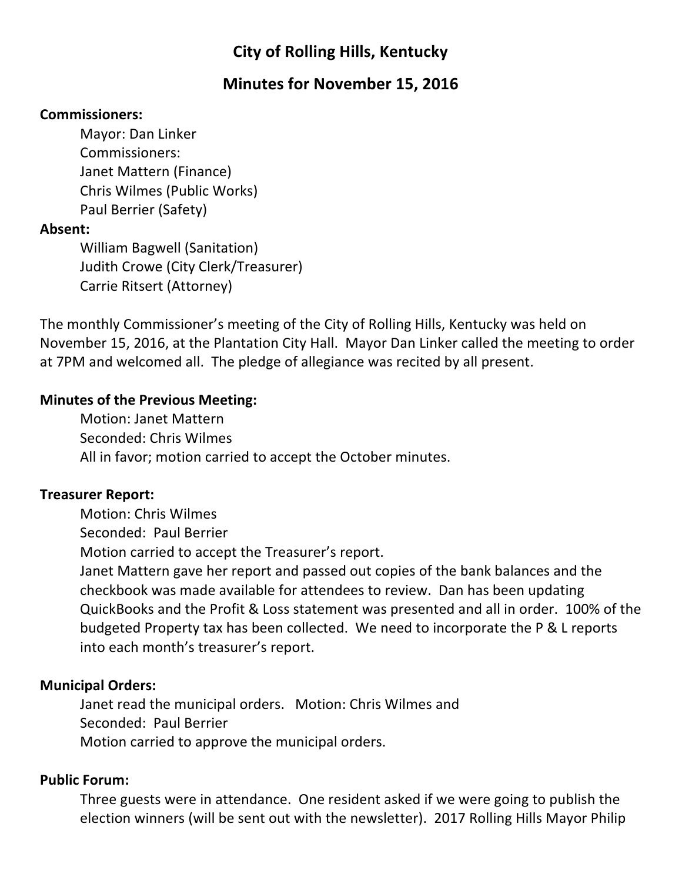# **City of Rolling Hills, Kentucky**

## **Minutes for November 15, 2016**

#### **Commissioners:**

Mayor: Dan Linker Commissioners: Janet Mattern (Finance) Chris Wilmes (Public Works) Paul Berrier (Safety)

## **Absent:**

William Bagwell (Sanitation) Judith Crowe (City Clerk/Treasurer) Carrie Ritsert (Attorney)

The monthly Commissioner's meeting of the City of Rolling Hills, Kentucky was held on November 15, 2016, at the Plantation City Hall. Mayor Dan Linker called the meeting to order at 7PM and welcomed all. The pledge of allegiance was recited by all present.

## **Minutes of the Previous Meeting:**

Motion: Janet Mattern Seconded: Chris Wilmes All in favor; motion carried to accept the October minutes.

## **Treasurer Report:**

Motion: Chris Wilmes Seconded: Paul Berrier Motion carried to accept the Treasurer's report. Janet Mattern gave her report and passed out copies of the bank balances and the checkbook was made available for attendees to review. Dan has been updating QuickBooks and the Profit & Loss statement was presented and all in order. 100% of the budgeted Property tax has been collected. We need to incorporate the P & L reports into each month's treasurer's report.

## **Municipal Orders:**

Janet read the municipal orders. Motion: Chris Wilmes and Seconded: Paul Berrier Motion carried to approve the municipal orders.

## **Public Forum:**

Three guests were in attendance. One resident asked if we were going to publish the election winners (will be sent out with the newsletter). 2017 Rolling Hills Mayor Philip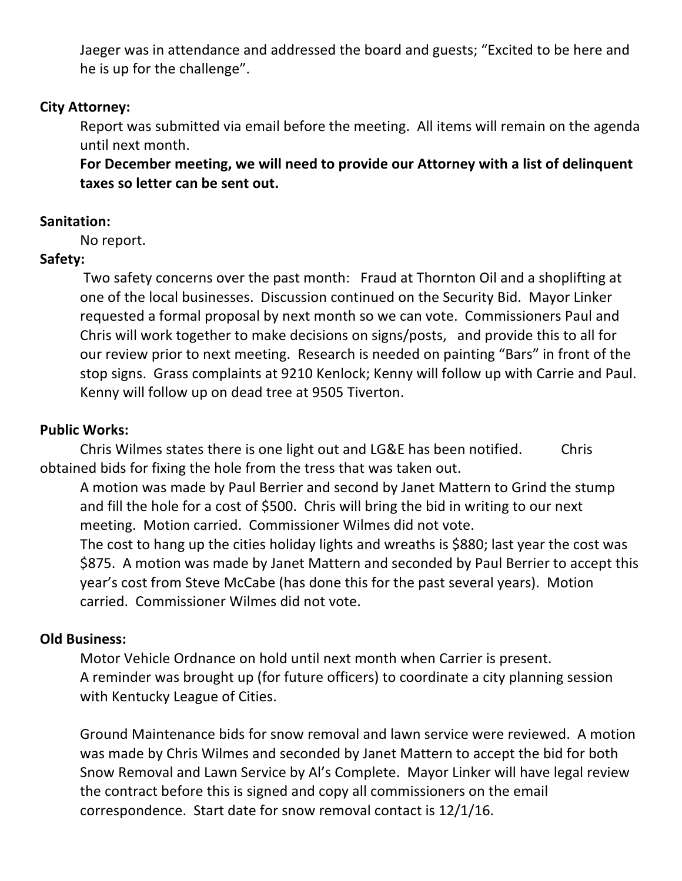Jaeger was in attendance and addressed the board and guests; "Excited to be here and he is up for the challenge".

#### **City Attorney:**

Report was submitted via email before the meeting. All items will remain on the agenda until next month.

For December meeting, we will need to provide our Attorney with a list of delinquent **taxes** so letter can be sent out.

#### **Sanitation:**

No report.

## **Safety:**

Two safety concerns over the past month: Fraud at Thornton Oil and a shoplifting at one of the local businesses. Discussion continued on the Security Bid. Mayor Linker requested a formal proposal by next month so we can vote. Commissioners Paul and Chris will work together to make decisions on signs/posts, and provide this to all for our review prior to next meeting. Research is needed on painting "Bars" in front of the stop signs. Grass complaints at 9210 Kenlock; Kenny will follow up with Carrie and Paul. Kenny will follow up on dead tree at 9505 Tiverton.

#### **Public Works:**

Chris Wilmes states there is one light out and LG&E has been notified. Chris obtained bids for fixing the hole from the tress that was taken out.

A motion was made by Paul Berrier and second by Janet Mattern to Grind the stump and fill the hole for a cost of \$500. Chris will bring the bid in writing to our next meeting. Motion carried. Commissioner Wilmes did not vote.

The cost to hang up the cities holiday lights and wreaths is \$880; last year the cost was \$875. A motion was made by Janet Mattern and seconded by Paul Berrier to accept this year's cost from Steve McCabe (has done this for the past several years). Motion carried. Commissioner Wilmes did not vote.

## **Old Business:**

Motor Vehicle Ordnance on hold until next month when Carrier is present. A reminder was brought up (for future officers) to coordinate a city planning session with Kentucky League of Cities.

Ground Maintenance bids for snow removal and lawn service were reviewed. A motion was made by Chris Wilmes and seconded by Janet Mattern to accept the bid for both Snow Removal and Lawn Service by Al's Complete. Mayor Linker will have legal review the contract before this is signed and copy all commissioners on the email correspondence. Start date for snow removal contact is 12/1/16.